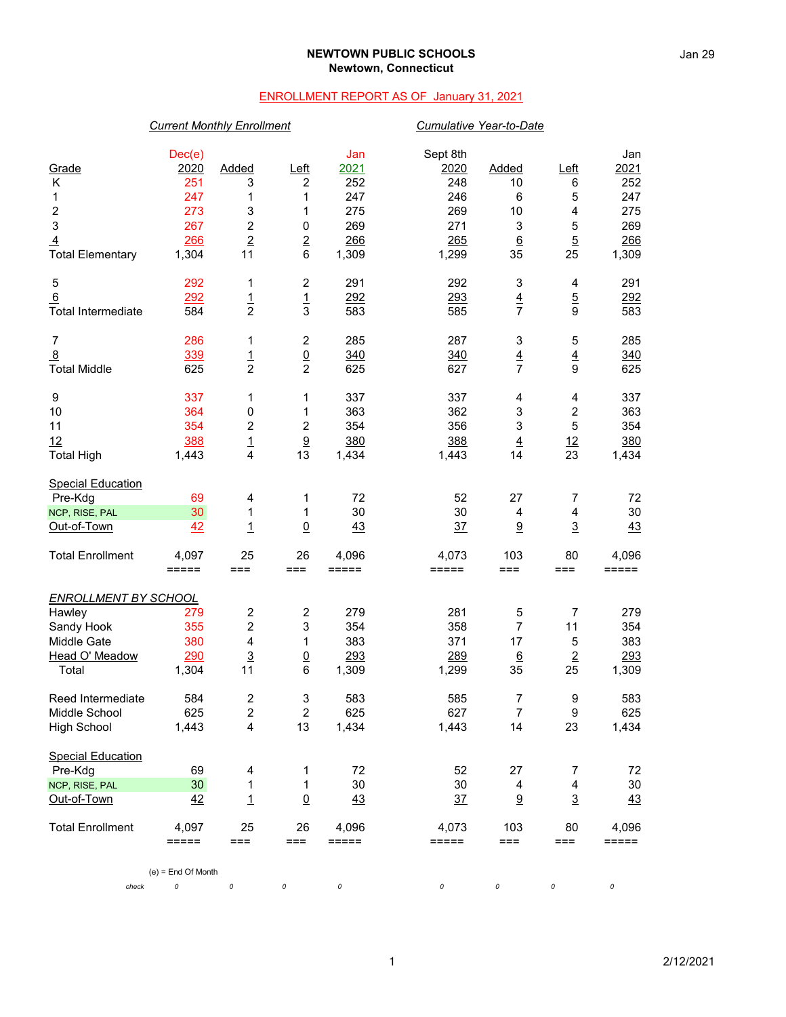### **NEWTOWN PUBLIC SCHOOLS Newtown, Connecticut**

## ENROLLMENT REPORT AS OF January 31, 2021

## *Current Monthly Enrollment Cumulative Year-to-Date*

| Grade<br>Κ<br>1<br>$\boldsymbol{2}$<br>3<br>$\overline{4}$<br><b>Total Elementary</b>           | Dec(e)<br>2020<br>251<br>247<br>273<br>267<br>266<br>1,304 | Added<br>3<br>1<br>3<br>$\overline{c}$<br>$\overline{2}$<br>11           | $L$ eft<br>2<br>1<br>1<br>0<br>$\overline{2}$<br>6    | Jan<br>2021<br>252<br>247<br>275<br>269<br>266<br>1,309 | Sept 8th<br>2020<br>248<br>246<br>269<br>271<br>265<br>1,299 | Added<br>10<br>6<br>10<br>3<br>$\underline{6}$<br>35 | $L$ eft<br>6<br>5<br>$\overline{\mathbf{4}}$<br>$\mathbf 5$<br>$\overline{5}$<br>25 | Jan<br>2021<br>252<br>247<br>275<br>269<br>266<br>1,309 |
|-------------------------------------------------------------------------------------------------|------------------------------------------------------------|--------------------------------------------------------------------------|-------------------------------------------------------|---------------------------------------------------------|--------------------------------------------------------------|------------------------------------------------------|-------------------------------------------------------------------------------------|---------------------------------------------------------|
| 5<br>6<br><b>Total Intermediate</b>                                                             | 292<br>292<br>584                                          | 1<br>$\frac{1}{2}$                                                       | $\overline{\mathbf{c}}$<br>$\frac{1}{3}$              | 291<br>292<br>583                                       | 292<br>293<br>585                                            | 3<br>$\frac{4}{7}$                                   | 4<br>$\frac{5}{9}$                                                                  | 291<br>292<br>583                                       |
| 7<br>8<br><b>Total Middle</b>                                                                   | 286<br>339<br>625                                          | 1<br>$\frac{1}{2}$                                                       | $\boldsymbol{2}$<br>$\underline{0}$<br>$\overline{c}$ | 285<br>340<br>625                                       | 287<br>340<br>627                                            | 3<br>$\overline{4}$<br>$\overline{7}$                | 5<br>$\overline{4}$<br>9                                                            | 285<br>340<br>625                                       |
| 9<br>10<br>11<br>12<br><b>Total High</b>                                                        | 337<br>364<br>354<br>388<br>1,443                          | 1<br>$\pmb{0}$<br>2<br>$\frac{1}{4}$                                     | 1<br>1<br>2<br>$\overline{9}$<br>13                   | 337<br>363<br>354<br>380<br>1,434                       | 337<br>362<br>356<br>388<br>1,443                            | 4<br>3<br>$\mathsf 3$<br>$\overline{4}$<br>14        | 4<br>$\boldsymbol{2}$<br>5<br>$\frac{12}{23}$                                       | 337<br>363<br>354<br>380<br>1,434                       |
| <b>Special Education</b><br>Pre-Kdg<br>NCP, RISE, PAL<br>Out-of-Town                            | 69<br>30<br>42                                             | 4<br>1<br>$\overline{1}$                                                 | 1<br>1<br>$\overline{0}$                              | 72<br>30<br>43                                          | 52<br>30<br>37                                               | 27<br>$\overline{4}$<br>9                            | 7<br>$\overline{\mathbf{4}}$<br>$\overline{3}$                                      | 72<br>30<br>43                                          |
| <b>Total Enrollment</b>                                                                         | 4,097<br>$=====$                                           | 25<br>$==$                                                               | 26<br>$==$                                            | 4,096<br>=====                                          | 4,073<br>$=====$                                             | 103<br>$==$                                          | 80<br>===                                                                           | 4,096<br>=====                                          |
| <b>ENROLLMENT BY SCHOOL</b><br>Hawley<br>Sandy Hook<br>Middle Gate<br>Head O' Meadow<br>Total   | 279<br>355<br>380<br>290<br>1,304                          | $\boldsymbol{2}$<br>$\overline{\mathbf{c}}$<br>4<br>$\overline{3}$<br>11 | $\boldsymbol{2}$<br>3<br>1<br>$\overline{0}$<br>6     | 279<br>354<br>383<br>293<br>1,309                       | 281<br>358<br>371<br>289<br>1,299                            | 5<br>$\overline{7}$<br>17<br>$6\overline{6}$<br>35   | $\overline{7}$<br>11<br>$\mathbf 5$<br>$\overline{2}$<br>25                         | 279<br>354<br>383<br>293<br>1,309                       |
| Reed Intermediate<br>Middle School<br><b>High School</b>                                        | 584<br>625<br>1,443                                        | 2<br>$\overline{2}$<br>4                                                 | 3<br>$\overline{2}$<br>13                             | 583<br>625<br>1,434                                     | 585<br>627<br>1,443                                          | 7<br>$\overline{7}$<br>14                            | 9<br>9<br>23                                                                        | 583<br>625<br>1,434                                     |
| <b>Special Education</b><br>Pre-Kdg<br>NCP, RISE, PAL<br>Out-of-Town<br><b>Total Enrollment</b> | 69<br>30<br>42<br>4,097                                    | 4<br>1<br>$\overline{1}$<br>25                                           | 1<br>1<br>$\underline{0}$<br>26                       | 72<br>30<br>43<br>4,096                                 | 52<br>30<br>$\frac{37}{2}$<br>4,073                          | 27<br>4<br>9<br>103                                  | 7<br>4<br>$\overline{3}$<br>80                                                      | 72<br>30<br>43<br>4,096                                 |
| check                                                                                           | $=====$<br>$(e)$ = End Of Month<br>0                       | $==$<br>0                                                                | $==$<br>0                                             | $=====$<br>0                                            | $=====$<br>0                                                 | $==$<br>0                                            | ===<br>0                                                                            | =====<br>0                                              |